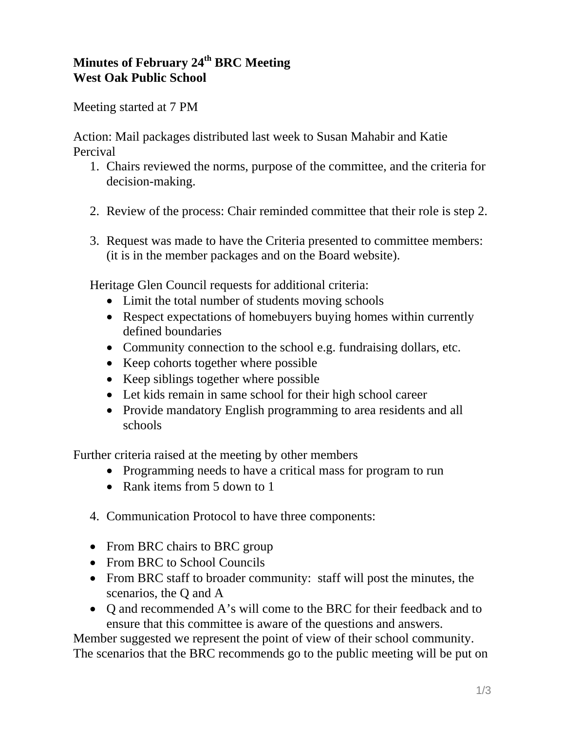## **Minutes of February 24th BRC Meeting West Oak Public School**

Meeting started at 7 PM

Action: Mail packages distributed last week to Susan Mahabir and Katie Percival

- 1. Chairs reviewed the norms, purpose of the committee, and the criteria for decision-making.
- 2. Review of the process: Chair reminded committee that their role is step 2.
- 3. Request was made to have the Criteria presented to committee members: (it is in the member packages and on the Board website).

Heritage Glen Council requests for additional criteria:

- Limit the total number of students moving schools
- Respect expectations of homebuyers buying homes within currently defined boundaries
- Community connection to the school e.g. fundraising dollars, etc.
- Keep cohorts together where possible
- Keep siblings together where possible
- Let kids remain in same school for their high school career
- Provide mandatory English programming to area residents and all schools

Further criteria raised at the meeting by other members

- Programming needs to have a critical mass for program to run
- Rank items from 5 down to 1
- 4. Communication Protocol to have three components:
- From BRC chairs to BRC group
- From BRC to School Councils
- From BRC staff to broader community: staff will post the minutes, the scenarios, the Q and A
- O and recommended A's will come to the BRC for their feedback and to ensure that this committee is aware of the questions and answers.

Member suggested we represent the point of view of their school community. The scenarios that the BRC recommends go to the public meeting will be put on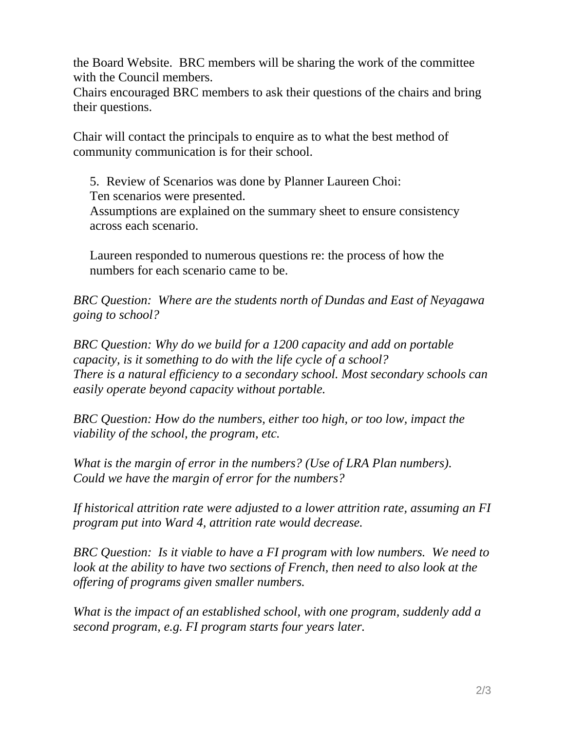the Board Website. BRC members will be sharing the work of the committee with the Council members.

Chairs encouraged BRC members to ask their questions of the chairs and bring their questions.

Chair will contact the principals to enquire as to what the best method of community communication is for their school.

5. Review of Scenarios was done by Planner Laureen Choi:

Ten scenarios were presented.

Assumptions are explained on the summary sheet to ensure consistency across each scenario.

Laureen responded to numerous questions re: the process of how the numbers for each scenario came to be.

*BRC Question: Where are the students north of Dundas and East of Neyagawa going to school?* 

*BRC Question: Why do we build for a 1200 capacity and add on portable capacity, is it something to do with the life cycle of a school? There is a natural efficiency to a secondary school. Most secondary schools can easily operate beyond capacity without portable.* 

*BRC Question: How do the numbers, either too high, or too low, impact the viability of the school, the program, etc.* 

*What is the margin of error in the numbers? (Use of LRA Plan numbers). Could we have the margin of error for the numbers?* 

*If historical attrition rate were adjusted to a lower attrition rate, assuming an FI program put into Ward 4, attrition rate would decrease.* 

*BRC Question: Is it viable to have a FI program with low numbers. We need to look at the ability to have two sections of French, then need to also look at the offering of programs given smaller numbers.* 

*What is the impact of an established school, with one program, suddenly add a second program, e.g. FI program starts four years later.*